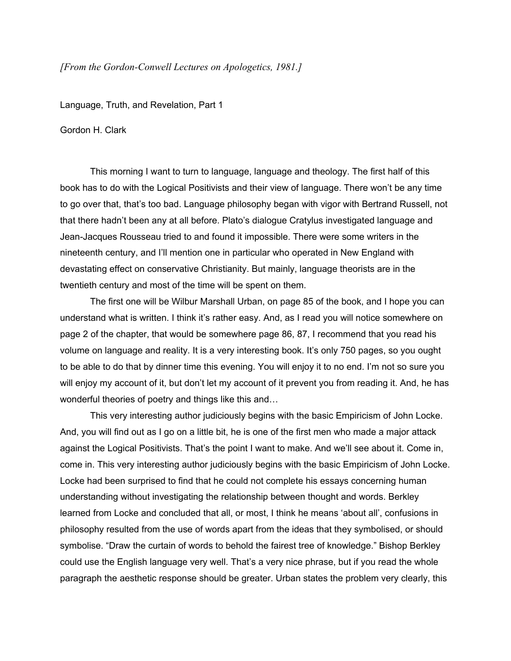## *[From the GordonConwell Lectures on Apologetics, 1981.]*

Language, Truth, and Revelation, Part 1

Gordon H. Clark

This morning I want to turn to language, language and theology. The first half of this book has to do with the Logical Positivists and their view of language. There won't be any time to go over that, that's too bad. Language philosophy began with vigor with Bertrand Russell, not that there hadn't been any at all before. Plato's dialogue Cratylus investigated language and Jean-Jacques Rousseau tried to and found it impossible. There were some writers in the nineteenth century, and I'll mention one in particular who operated in New England with devastating effect on conservative Christianity. But mainly, language theorists are in the twentieth century and most of the time will be spent on them.

The first one will be Wilbur Marshall Urban, on page 85 of the book, and I hope you can understand what is written. I think it's rather easy. And, as I read you will notice somewhere on page 2 of the chapter, that would be somewhere page 86, 87, I recommend that you read his volume on language and reality. It is a very interesting book. It's only 750 pages, so you ought to be able to do that by dinner time this evening. You will enjoy it to no end. I'm not so sure you will enjoy my account of it, but don't let my account of it prevent you from reading it. And, he has wonderful theories of poetry and things like this and…

This very interesting author judiciously begins with the basic Empiricism of John Locke. And, you will find out as I go on a little bit, he is one of the first men who made a major attack against the Logical Positivists. That's the point I want to make. And we'll see about it. Come in, come in. This very interesting author judiciously begins with the basic Empiricism of John Locke. Locke had been surprised to find that he could not complete his essays concerning human understanding without investigating the relationship between thought and words. Berkley learned from Locke and concluded that all, or most, I think he means 'about all', confusions in philosophy resulted from the use of words apart from the ideas that they symbolised, or should symbolise. "Draw the curtain of words to behold the fairest tree of knowledge." Bishop Berkley could use the English language very well. That's a very nice phrase, but if you read the whole paragraph the aesthetic response should be greater. Urban states the problem very clearly, this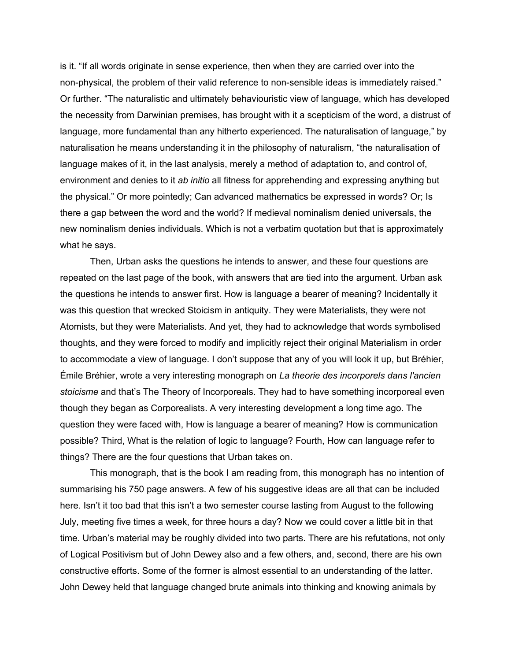is it. "If all words originate in sense experience, then when they are carried over into the non-physical, the problem of their valid reference to non-sensible ideas is immediately raised." Or further. "The naturalistic and ultimately behaviouristic view of language, which has developed the necessity from Darwinian premises, has brought with it a scepticism of the word, a distrust of language, more fundamental than any hitherto experienced. The naturalisation of language," by naturalisation he means understanding it in the philosophy of naturalism, "the naturalisation of language makes of it, in the last analysis, merely a method of adaptation to, and control of, environment and denies to it *ab initio* all fitness for apprehending and expressing anything but the physical." Or more pointedly; Can advanced mathematics be expressed in words? Or; Is there a gap between the word and the world? If medieval nominalism denied universals, the new nominalism denies individuals. Which is not a verbatim quotation but that is approximately what he says.

Then, Urban asks the questions he intends to answer, and these four questions are repeated on the last page of the book, with answers that are tied into the argument. Urban ask the questions he intends to answer first. How is language a bearer of meaning? Incidentally it was this question that wrecked Stoicism in antiquity. They were Materialists, they were not Atomists, but they were Materialists. And yet, they had to acknowledge that words symbolised thoughts, and they were forced to modify and implicitly reject their original Materialism in order to accommodate a view of language. I don't suppose that any of you will look it up, but Bréhier, Émile Bréhier, wrote a very interesting monograph on *La theorie des incorporels dans l'ancien stoicisme* and that's The Theory of Incorporeals. They had to have something incorporeal even though they began as Corporealists. A very interesting development a long time ago. The question they were faced with, How is language a bearer of meaning? How is communication possible? Third, What is the relation of logic to language? Fourth, How can language refer to things? There are the four questions that Urban takes on.

This monograph, that is the book I am reading from, this monograph has no intention of summarising his 750 page answers. A few of his suggestive ideas are all that can be included here. Isn't it too bad that this isn't a two semester course lasting from August to the following July, meeting five times a week, for three hours a day? Now we could cover a little bit in that time. Urban's material may be roughly divided into two parts. There are his refutations, not only of Logical Positivism but of John Dewey also and a few others, and, second, there are his own constructive efforts. Some of the former is almost essential to an understanding of the latter. John Dewey held that language changed brute animals into thinking and knowing animals by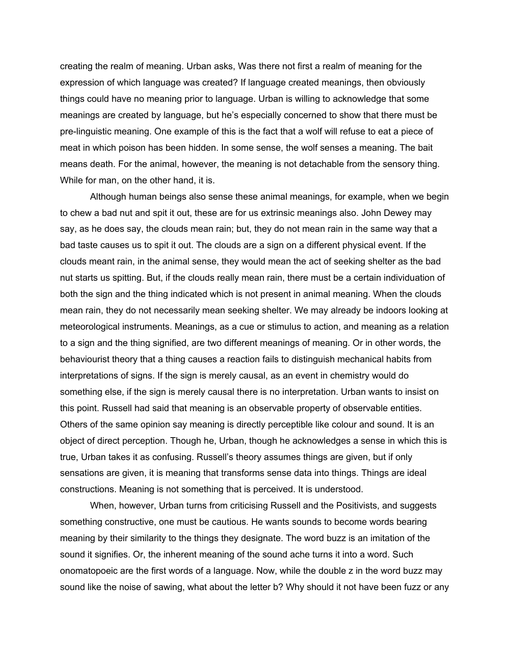creating the realm of meaning. Urban asks, Was there not first a realm of meaning for the expression of which language was created? If language created meanings, then obviously things could have no meaning prior to language. Urban is willing to acknowledge that some meanings are created by language, but he's especially concerned to show that there must be prelinguistic meaning. One example of this is the fact that a wolf will refuse to eat a piece of meat in which poison has been hidden. In some sense, the wolf senses a meaning. The bait means death. For the animal, however, the meaning is not detachable from the sensory thing. While for man, on the other hand, it is.

Although human beings also sense these animal meanings, for example, when we begin to chew a bad nut and spit it out, these are for us extrinsic meanings also. John Dewey may say, as he does say, the clouds mean rain; but, they do not mean rain in the same way that a bad taste causes us to spit it out. The clouds are a sign on a different physical event. If the clouds meant rain, in the animal sense, they would mean the act of seeking shelter as the bad nut starts us spitting. But, if the clouds really mean rain, there must be a certain individuation of both the sign and the thing indicated which is not present in animal meaning. When the clouds mean rain, they do not necessarily mean seeking shelter. We may already be indoors looking at meteorological instruments. Meanings, as a cue or stimulus to action, and meaning as a relation to a sign and the thing signified, are two different meanings of meaning. Or in other words, the behaviourist theory that a thing causes a reaction fails to distinguish mechanical habits from interpretations of signs. If the sign is merely causal, as an event in chemistry would do something else, if the sign is merely causal there is no interpretation. Urban wants to insist on this point. Russell had said that meaning is an observable property of observable entities. Others of the same opinion say meaning is directly perceptible like colour and sound. It is an object of direct perception. Though he, Urban, though he acknowledges a sense in which this is true, Urban takes it as confusing. Russell's theory assumes things are given, but if only sensations are given, it is meaning that transforms sense data into things. Things are ideal constructions. Meaning is not something that is perceived. It is understood.

When, however, Urban turns from criticising Russell and the Positivists, and suggests something constructive, one must be cautious. He wants sounds to become words bearing meaning by their similarity to the things they designate. The word buzz is an imitation of the sound it signifies. Or, the inherent meaning of the sound ache turns it into a word. Such onomatopoeic are the first words of a language. Now, while the double z in the word buzz may sound like the noise of sawing, what about the letter b? Why should it not have been fuzz or any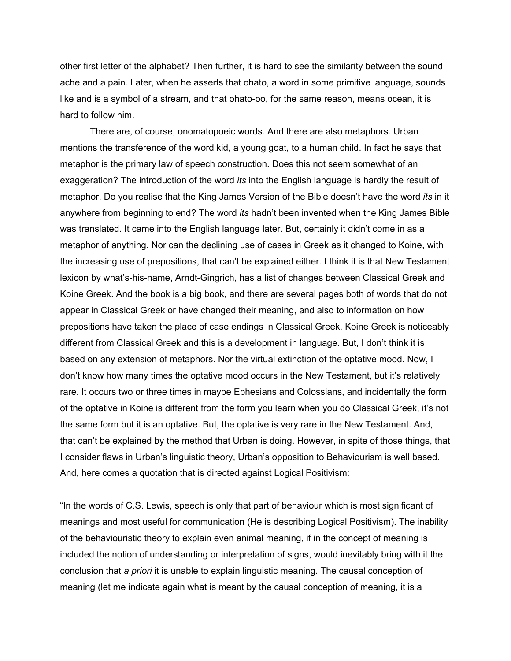other first letter of the alphabet? Then further, it is hard to see the similarity between the sound ache and a pain. Later, when he asserts that ohato, a word in some primitive language, sounds like and is a symbol of a stream, and that ohato-oo, for the same reason, means ocean, it is hard to follow him.

There are, of course, onomatopoeic words. And there are also metaphors. Urban mentions the transference of the word kid, a young goat, to a human child. In fact he says that metaphor is the primary law of speech construction. Does this not seem somewhat of an exaggeration? The introduction of the word *its* into the English language is hardly the result of metaphor. Do you realise that the King James Version of the Bible doesn't have the word *its* in it anywhere from beginning to end? The word *its* hadn't been invented when the King James Bible was translated. It came into the English language later. But, certainly it didn't come in as a metaphor of anything. Nor can the declining use of cases in Greek as it changed to Koine, with the increasing use of prepositions, that can't be explained either. I think it is that New Testament lexicon by what's-his-name, Arndt-Gingrich, has a list of changes between Classical Greek and Koine Greek. And the book is a big book, and there are several pages both of words that do not appear in Classical Greek or have changed their meaning, and also to information on how prepositions have taken the place of case endings in Classical Greek. Koine Greek is noticeably different from Classical Greek and this is a development in language. But, I don't think it is based on any extension of metaphors. Nor the virtual extinction of the optative mood. Now, I don't know how many times the optative mood occurs in the New Testament, but it's relatively rare. It occurs two or three times in maybe Ephesians and Colossians, and incidentally the form of the optative in Koine is different from the form you learn when you do Classical Greek, it's not the same form but it is an optative. But, the optative is very rare in the New Testament. And, that can't be explained by the method that Urban is doing. However, in spite of those things, that I consider flaws in Urban's linguistic theory, Urban's opposition to Behaviourism is well based. And, here comes a quotation that is directed against Logical Positivism:

"In the words of C.S. Lewis, speech is only that part of behaviour which is most significant of meanings and most useful for communication (He is describing Logical Positivism). The inability of the behaviouristic theory to explain even animal meaning, if in the concept of meaning is included the notion of understanding or interpretation of signs, would inevitably bring with it the conclusion that *a priori* it is unable to explain linguistic meaning. The causal conception of meaning (let me indicate again what is meant by the causal conception of meaning, it is a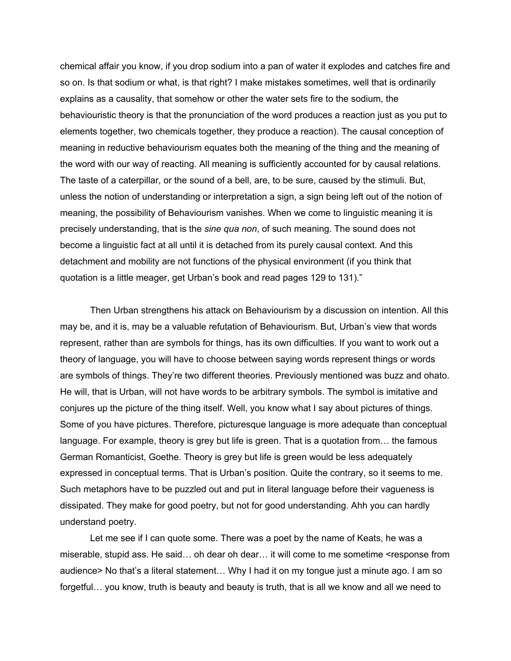chemical affair you know, if you drop sodium into a pan of water it explodes and catches fire and so on. Is that sodium or what, is that right? I make mistakes sometimes, well that is ordinarily explains as a causality, that somehow or other the water sets fire to the sodium, the behaviouristic theory is that the pronunciation of the word produces a reaction just as you put to elements together, two chemicals together, they produce a reaction). The causal conception of meaning in reductive behaviourism equates both the meaning of the thing and the meaning of the word with our way of reacting. All meaning is sufficiently accounted for by causal relations. The taste of a caterpillar, or the sound of a bell, are, to be sure, caused by the stimuli. But, unless the notion of understanding or interpretation a sign, a sign being left out of the notion of meaning, the possibility of Behaviourism vanishes. When we come to linguistic meaning it is precisely understanding, that is the *sine qua non*, of such meaning. The sound does not become a linguistic fact at all until it is detached from its purely causal context. And this detachment and mobility are not functions of the physical environment (if you think that quotation is a little meager, get Urban's book and read pages 129 to 131)."

Then Urban strengthens his attack on Behaviourism by a discussion on intention. All this may be, and it is, may be a valuable refutation of Behaviourism. But, Urban's view that words represent, rather than are symbols for things, has its own difficulties. If you want to work out a theory of language, you will have to choose between saying words represent things or words are symbols of things. They're two different theories. Previously mentioned was buzz and ohato. He will, that is Urban, will not have words to be arbitrary symbols. The symbol is imitative and conjures up the picture of the thing itself. Well, you know what I say about pictures of things. Some of you have pictures. Therefore, picturesque language is more adequate than conceptual language. For example, theory is grey but life is green. That is a quotation from… the famous German Romanticist, Goethe. Theory is grey but life is green would be less adequately expressed in conceptual terms. That is Urban's position. Quite the contrary, so it seems to me. Such metaphors have to be puzzled out and put in literal language before their vagueness is dissipated. They make for good poetry, but not for good understanding. Ahh you can hardly understand poetry.

Let me see if I can quote some. There was a poet by the name of Keats, he was a miserable, stupid ass. He said… oh dear oh dear… it will come to me sometime <response from audience> No that's a literal statement… Why I had it on my tongue just a minute ago. I am so forgetful… you know, truth is beauty and beauty is truth, that is all we know and all we need to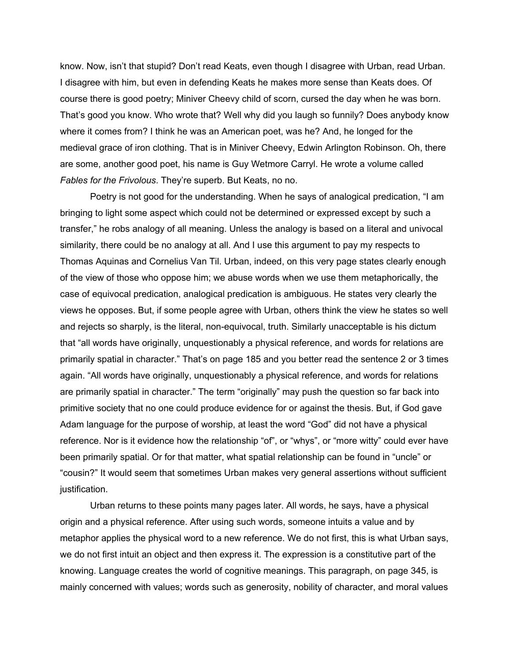know. Now, isn't that stupid? Don't read Keats, even though I disagree with Urban, read Urban. I disagree with him, but even in defending Keats he makes more sense than Keats does. Of course there is good poetry; Miniver Cheevy child of scorn, cursed the day when he was born. That's good you know. Who wrote that? Well why did you laugh so funnily? Does anybody know where it comes from? I think he was an American poet, was he? And, he longed for the medieval grace of iron clothing. That is in Miniver Cheevy, Edwin Arlington Robinson. Oh, there are some, another good poet, his name is Guy Wetmore Carryl. He wrote a volume called *Fables for the Frivolous*. They're superb. But Keats, no no.

Poetry is not good for the understanding. When he says of analogical predication, "I am bringing to light some aspect which could not be determined or expressed except by such a transfer," he robs analogy of all meaning. Unless the analogy is based on a literal and univocal similarity, there could be no analogy at all. And I use this argument to pay my respects to Thomas Aquinas and Cornelius Van Til. Urban, indeed, on this very page states clearly enough of the view of those who oppose him; we abuse words when we use them metaphorically, the case of equivocal predication, analogical predication is ambiguous. He states very clearly the views he opposes. But, if some people agree with Urban, others think the view he states so well and rejects so sharply, is the literal, non-equivocal, truth. Similarly unacceptable is his dictum that "all words have originally, unquestionably a physical reference, and words for relations are primarily spatial in character." That's on page 185 and you better read the sentence 2 or 3 times again. "All words have originally, unquestionably a physical reference, and words for relations are primarily spatial in character." The term "originally" may push the question so far back into primitive society that no one could produce evidence for or against the thesis. But, if God gave Adam language for the purpose of worship, at least the word "God" did not have a physical reference. Nor is it evidence how the relationship "of", or "whys", or "more witty" could ever have been primarily spatial. Or for that matter, what spatial relationship can be found in "uncle" or "cousin?" It would seem that sometimes Urban makes very general assertions without sufficient justification.

Urban returns to these points many pages later. All words, he says, have a physical origin and a physical reference. After using such words, someone intuits a value and by metaphor applies the physical word to a new reference. We do not first, this is what Urban says, we do not first intuit an object and then express it. The expression is a constitutive part of the knowing. Language creates the world of cognitive meanings. This paragraph, on page 345, is mainly concerned with values; words such as generosity, nobility of character, and moral values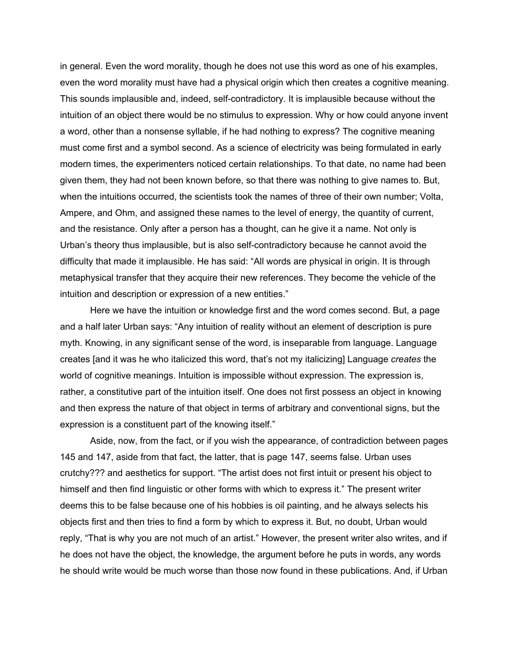in general. Even the word morality, though he does not use this word as one of his examples, even the word morality must have had a physical origin which then creates a cognitive meaning. This sounds implausible and, indeed, self-contradictory. It is implausible because without the intuition of an object there would be no stimulus to expression. Why or how could anyone invent a word, other than a nonsense syllable, if he had nothing to express? The cognitive meaning must come first and a symbol second. As a science of electricity was being formulated in early modern times, the experimenters noticed certain relationships. To that date, no name had been given them, they had not been known before, so that there was nothing to give names to. But, when the intuitions occurred, the scientists took the names of three of their own number; Volta, Ampere, and Ohm, and assigned these names to the level of energy, the quantity of current, and the resistance. Only after a person has a thought, can he give it a name. Not only is Urban's theory thus implausible, but is also self-contradictory because he cannot avoid the difficulty that made it implausible. He has said: "All words are physical in origin. It is through metaphysical transfer that they acquire their new references. They become the vehicle of the intuition and description or expression of a new entities."

Here we have the intuition or knowledge first and the word comes second. But, a page and a half later Urban says: "Any intuition of reality without an element of description is pure myth. Knowing, in any significant sense of the word, is inseparable from language. Language creates [and it was he who italicized this word, that's not my italicizing] Language *creates* the world of cognitive meanings. Intuition is impossible without expression. The expression is, rather, a constitutive part of the intuition itself. One does not first possess an object in knowing and then express the nature of that object in terms of arbitrary and conventional signs, but the expression is a constituent part of the knowing itself."

Aside, now, from the fact, or if you wish the appearance, of contradiction between pages 145 and 147, aside from that fact, the latter, that is page 147, seems false. Urban uses crutchy??? and aesthetics for support. "The artist does not first intuit or present his object to himself and then find linguistic or other forms with which to express it." The present writer deems this to be false because one of his hobbies is oil painting, and he always selects his objects first and then tries to find a form by which to express it. But, no doubt, Urban would reply, "That is why you are not much of an artist." However, the present writer also writes, and if he does not have the object, the knowledge, the argument before he puts in words, any words he should write would be much worse than those now found in these publications. And, if Urban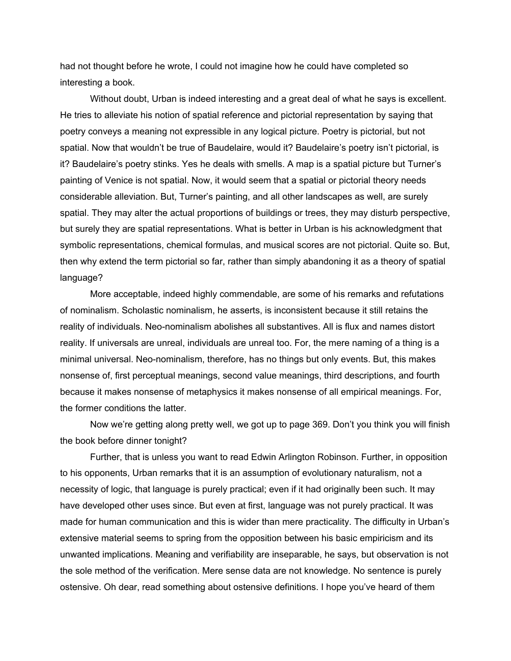had not thought before he wrote, I could not imagine how he could have completed so interesting a book.

Without doubt, Urban is indeed interesting and a great deal of what he says is excellent. He tries to alleviate his notion of spatial reference and pictorial representation by saying that poetry conveys a meaning not expressible in any logical picture. Poetry is pictorial, but not spatial. Now that wouldn't be true of Baudelaire, would it? Baudelaire's poetry isn't pictorial, is it? Baudelaire's poetry stinks. Yes he deals with smells. A map is a spatial picture but Turner's painting of Venice is not spatial. Now, it would seem that a spatial or pictorial theory needs considerable alleviation. But, Turner's painting, and all other landscapes as well, are surely spatial. They may alter the actual proportions of buildings or trees, they may disturb perspective, but surely they are spatial representations. What is better in Urban is his acknowledgment that symbolic representations, chemical formulas, and musical scores are not pictorial. Quite so. But, then why extend the term pictorial so far, rather than simply abandoning it as a theory of spatial language?

More acceptable, indeed highly commendable, are some of his remarks and refutations of nominalism. Scholastic nominalism, he asserts, is inconsistent because it still retains the reality of individuals. Neo-nominalism abolishes all substantives. All is flux and names distort reality. If universals are unreal, individuals are unreal too. For, the mere naming of a thing is a minimal universal. Neo-nominalism, therefore, has no things but only events. But, this makes nonsense of, first perceptual meanings, second value meanings, third descriptions, and fourth because it makes nonsense of metaphysics it makes nonsense of all empirical meanings. For, the former conditions the latter.

Now we're getting along pretty well, we got up to page 369. Don't you think you will finish the book before dinner tonight?

Further, that is unless you want to read Edwin Arlington Robinson. Further, in opposition to his opponents, Urban remarks that it is an assumption of evolutionary naturalism, not a necessity of logic, that language is purely practical; even if it had originally been such. It may have developed other uses since. But even at first, language was not purely practical. It was made for human communication and this is wider than mere practicality. The difficulty in Urban's extensive material seems to spring from the opposition between his basic empiricism and its unwanted implications. Meaning and verifiability are inseparable, he says, but observation is not the sole method of the verification. Mere sense data are not knowledge. No sentence is purely ostensive. Oh dear, read something about ostensive definitions. I hope you've heard of them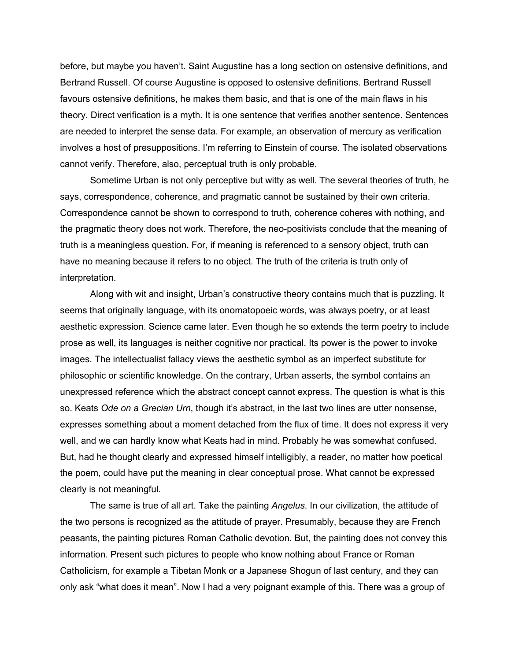before, but maybe you haven't. Saint Augustine has a long section on ostensive definitions, and Bertrand Russell. Of course Augustine is opposed to ostensive definitions. Bertrand Russell favours ostensive definitions, he makes them basic, and that is one of the main flaws in his theory. Direct verification is a myth. It is one sentence that verifies another sentence. Sentences are needed to interpret the sense data. For example, an observation of mercury as verification involves a host of presuppositions. I'm referring to Einstein of course. The isolated observations cannot verify. Therefore, also, perceptual truth is only probable.

Sometime Urban is not only perceptive but witty as well. The several theories of truth, he says, correspondence, coherence, and pragmatic cannot be sustained by their own criteria. Correspondence cannot be shown to correspond to truth, coherence coheres with nothing, and the pragmatic theory does not work. Therefore, the neo-positivists conclude that the meaning of truth is a meaningless question. For, if meaning is referenced to a sensory object, truth can have no meaning because it refers to no object. The truth of the criteria is truth only of interpretation.

Along with wit and insight, Urban's constructive theory contains much that is puzzling. It seems that originally language, with its onomatopoeic words, was always poetry, or at least aesthetic expression. Science came later. Even though he so extends the term poetry to include prose as well, its languages is neither cognitive nor practical. Its power is the power to invoke images. The intellectualist fallacy views the aesthetic symbol as an imperfect substitute for philosophic or scientific knowledge. On the contrary, Urban asserts, the symbol contains an unexpressed reference which the abstract concept cannot express. The question is what is this so. Keats *Ode on a Grecian Urn*, though it's abstract, in the last two lines are utter nonsense, expresses something about a moment detached from the flux of time. It does not express it very well, and we can hardly know what Keats had in mind. Probably he was somewhat confused. But, had he thought clearly and expressed himself intelligibly, a reader, no matter how poetical the poem, could have put the meaning in clear conceptual prose. What cannot be expressed clearly is not meaningful.

The same is true of all art. Take the painting *Angelus*. In our civilization, the attitude of the two persons is recognized as the attitude of prayer. Presumably, because they are French peasants, the painting pictures Roman Catholic devotion. But, the painting does not convey this information. Present such pictures to people who know nothing about France or Roman Catholicism, for example a Tibetan Monk or a Japanese Shogun of last century, and they can only ask "what does it mean". Now I had a very poignant example of this. There was a group of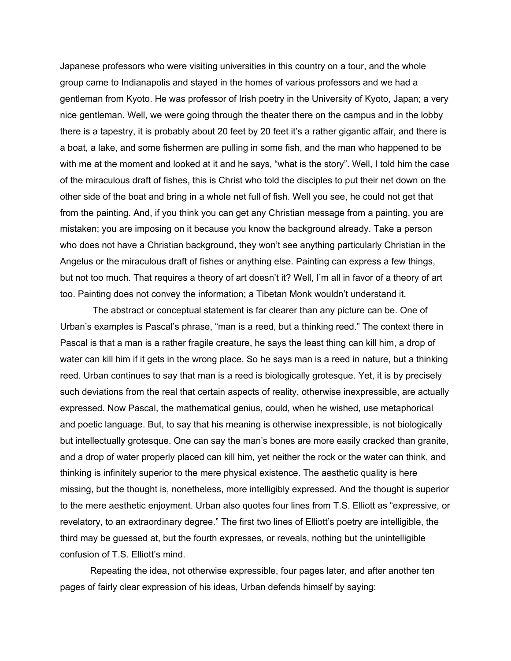Japanese professors who were visiting universities in this country on a tour, and the whole group came to Indianapolis and stayed in the homes of various professors and we had a gentleman from Kyoto. He was professor of Irish poetry in the University of Kyoto, Japan; a very nice gentleman. Well, we were going through the theater there on the campus and in the lobby there is a tapestry, it is probably about 20 feet by 20 feet it's a rather gigantic affair, and there is a boat, a lake, and some fishermen are pulling in some fish, and the man who happened to be with me at the moment and looked at it and he says, "what is the story". Well, I told him the case of the miraculous draft of fishes, this is Christ who told the disciples to put their net down on the other side of the boat and bring in a whole net full of fish. Well you see, he could not get that from the painting. And, if you think you can get any Christian message from a painting, you are mistaken; you are imposing on it because you know the background already. Take a person who does not have a Christian background, they won't see anything particularly Christian in the Angelus or the miraculous draft of fishes or anything else. Painting can express a few things, but not too much. That requires a theory of art doesn't it? Well, I'm all in favor of a theory of art too. Painting does not convey the information; a Tibetan Monk wouldn't understand it.

The abstract or conceptual statement is far clearer than any picture can be. One of Urban's examples is Pascal's phrase, "man is a reed, but a thinking reed." The context there in Pascal is that a man is a rather fragile creature, he says the least thing can kill him, a drop of water can kill him if it gets in the wrong place. So he says man is a reed in nature, but a thinking reed. Urban continues to say that man is a reed is biologically grotesque. Yet, it is by precisely such deviations from the real that certain aspects of reality, otherwise inexpressible, are actually expressed. Now Pascal, the mathematical genius, could, when he wished, use metaphorical and poetic language. But, to say that his meaning is otherwise inexpressible, is not biologically but intellectually grotesque. One can say the man's bones are more easily cracked than granite, and a drop of water properly placed can kill him, yet neither the rock or the water can think, and thinking is infinitely superior to the mere physical existence. The aesthetic quality is here missing, but the thought is, nonetheless, more intelligibly expressed. And the thought is superior to the mere aesthetic enjoyment. Urban also quotes four lines from T.S. Elliott as "expressive, or revelatory, to an extraordinary degree." The first two lines of Elliott's poetry are intelligible, the third may be guessed at, but the fourth expresses, or reveals, nothing but the unintelligible confusion of T.S. Elliott's mind.

Repeating the idea, not otherwise expressible, four pages later, and after another ten pages of fairly clear expression of his ideas, Urban defends himself by saying: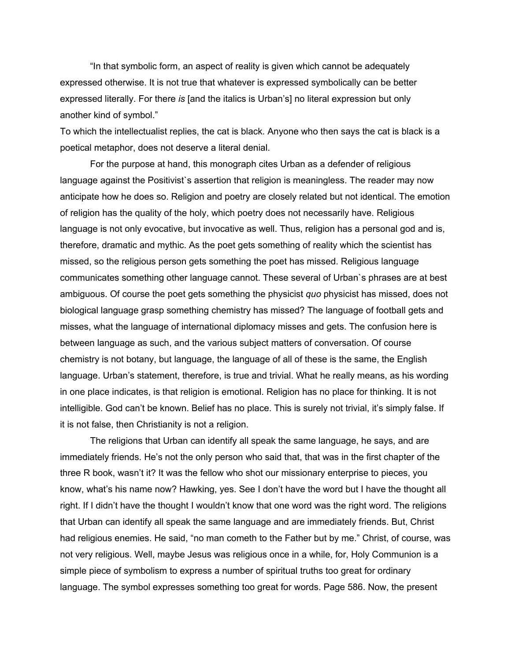"In that symbolic form, an aspect of reality is given which cannot be adequately expressed otherwise. It is not true that whatever is expressed symbolically can be better expressed literally. For there *is* [and the italics is Urban's] no literal expression but only another kind of symbol."

To which the intellectualist replies, the cat is black. Anyone who then says the cat is black is a poetical metaphor, does not deserve a literal denial.

For the purpose at hand, this monograph cites Urban as a defender of religious language against the Positivist`s assertion that religion is meaningless. The reader may now anticipate how he does so. Religion and poetry are closely related but not identical. The emotion of religion has the quality of the holy, which poetry does not necessarily have. Religious language is not only evocative, but invocative as well. Thus, religion has a personal god and is, therefore, dramatic and mythic. As the poet gets something of reality which the scientist has missed, so the religious person gets something the poet has missed. Religious language communicates something other language cannot. These several of Urban`s phrases are at best ambiguous. Of course the poet gets something the physicist *quo* physicist has missed, does not biological language grasp something chemistry has missed? The language of football gets and misses, what the language of international diplomacy misses and gets. The confusion here is between language as such, and the various subject matters of conversation. Of course chemistry is not botany, but language, the language of all of these is the same, the English language. Urban's statement, therefore, is true and trivial. What he really means, as his wording in one place indicates, is that religion is emotional. Religion has no place for thinking. It is not intelligible. God can't be known. Belief has no place. This is surely not trivial, it's simply false. If it is not false, then Christianity is not a religion.

The religions that Urban can identify all speak the same language, he says, and are immediately friends. He's not the only person who said that, that was in the first chapter of the three R book, wasn't it? It was the fellow who shot our missionary enterprise to pieces, you know, what's his name now? Hawking, yes. See I don't have the word but I have the thought all right. If I didn't have the thought I wouldn't know that one word was the right word. The religions that Urban can identify all speak the same language and are immediately friends. But, Christ had religious enemies. He said, "no man cometh to the Father but by me." Christ, of course, was not very religious. Well, maybe Jesus was religious once in a while, for, Holy Communion is a simple piece of symbolism to express a number of spiritual truths too great for ordinary language. The symbol expresses something too great for words. Page 586. Now, the present